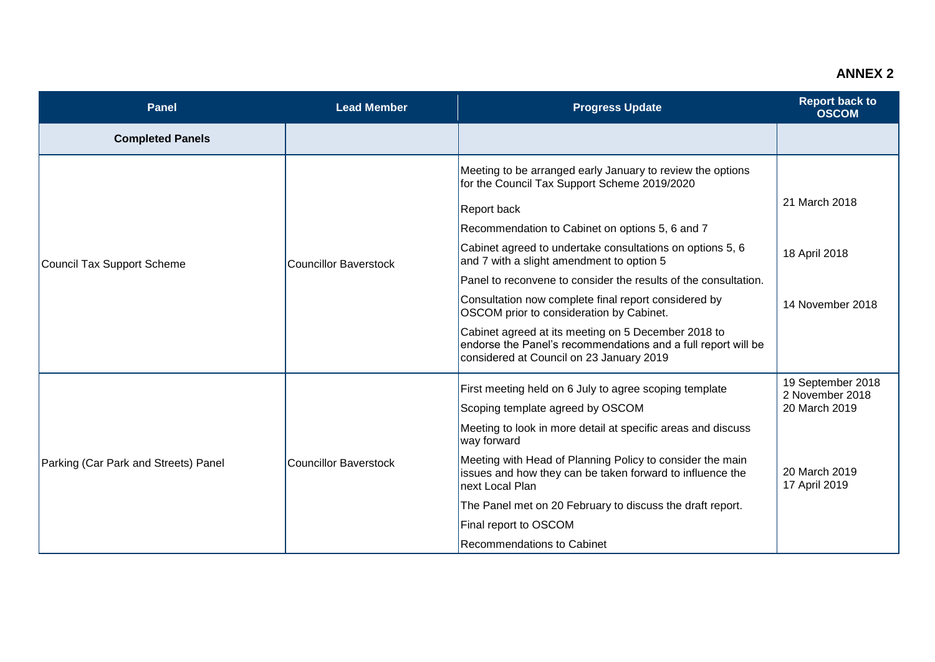## **ANNEX 2**

| <b>Panel</b>                         | <b>Lead Member</b>    | <b>Progress Update</b>                                                                                                                                                                                                                                                                                                                                                                                                                                                                                                                                                                                                                   | <b>Report back to</b><br><b>OSCOM</b>                                                   |
|--------------------------------------|-----------------------|------------------------------------------------------------------------------------------------------------------------------------------------------------------------------------------------------------------------------------------------------------------------------------------------------------------------------------------------------------------------------------------------------------------------------------------------------------------------------------------------------------------------------------------------------------------------------------------------------------------------------------------|-----------------------------------------------------------------------------------------|
| <b>Completed Panels</b>              |                       |                                                                                                                                                                                                                                                                                                                                                                                                                                                                                                                                                                                                                                          |                                                                                         |
| Council Tax Support Scheme           | Councillor Baverstock | Meeting to be arranged early January to review the options<br>for the Council Tax Support Scheme 2019/2020<br><b>Report back</b><br>Recommendation to Cabinet on options 5, 6 and 7<br>Cabinet agreed to undertake consultations on options 5, 6<br>and 7 with a slight amendment to option 5<br>Panel to reconvene to consider the results of the consultation.<br>Consultation now complete final report considered by<br>OSCOM prior to consideration by Cabinet.<br>Cabinet agreed at its meeting on 5 December 2018 to<br>endorse the Panel's recommendations and a full report will be<br>considered at Council on 23 January 2019 | 21 March 2018<br>18 April 2018<br>14 November 2018                                      |
| Parking (Car Park and Streets) Panel | Councillor Baverstock | First meeting held on 6 July to agree scoping template<br>Scoping template agreed by OSCOM<br>Meeting to look in more detail at specific areas and discuss<br>way forward<br>Meeting with Head of Planning Policy to consider the main<br>issues and how they can be taken forward to influence the<br>next Local Plan<br>The Panel met on 20 February to discuss the draft report.<br>Final report to OSCOM<br><b>Recommendations to Cabinet</b>                                                                                                                                                                                        | 19 September 2018<br>2 November 2018<br>20 March 2019<br>20 March 2019<br>17 April 2019 |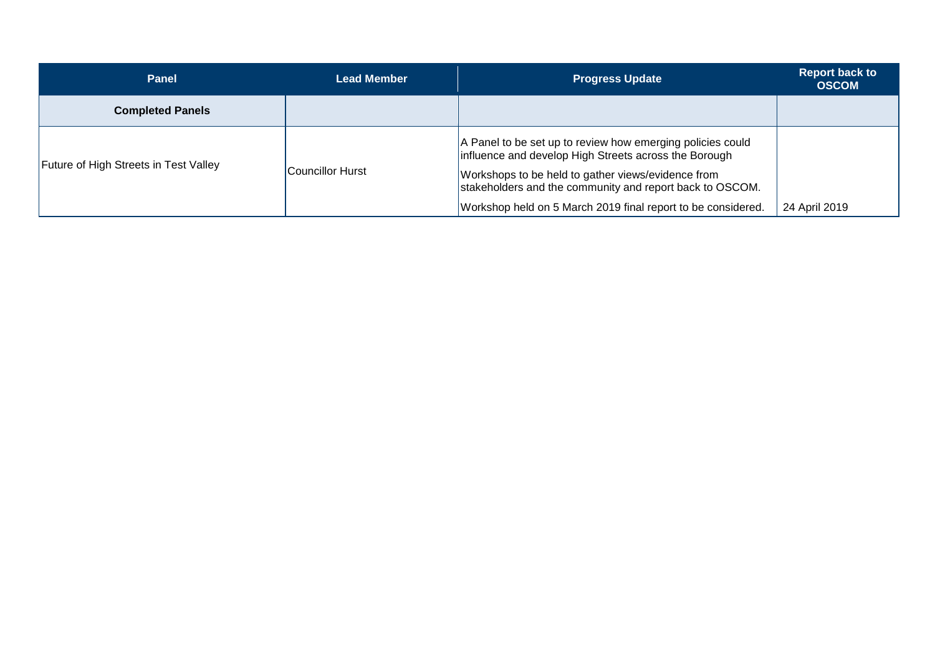| Panel                                        | <b>Lead Member</b> | <b>Progress Update</b>                                                                                                                                                                                                                                                                                | <b>Report back to</b><br><b>OSCOM</b> |
|----------------------------------------------|--------------------|-------------------------------------------------------------------------------------------------------------------------------------------------------------------------------------------------------------------------------------------------------------------------------------------------------|---------------------------------------|
| <b>Completed Panels</b>                      |                    |                                                                                                                                                                                                                                                                                                       |                                       |
| <b>Future of High Streets in Test Valley</b> | Councillor Hurst   | A Panel to be set up to review how emerging policies could<br>influence and develop High Streets across the Borough<br>Workshops to be held to gather views/evidence from<br>stakeholders and the community and report back to OSCOM.<br>Workshop held on 5 March 2019 final report to be considered. | 24 April 2019                         |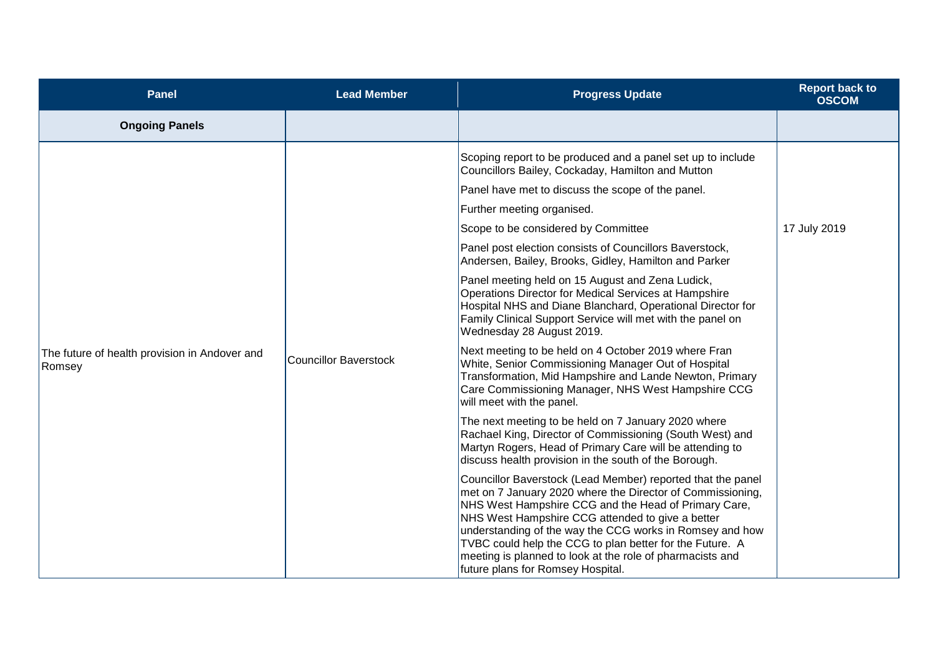| <b>Panel</b>                                            | <b>Lead Member</b>           | <b>Progress Update</b>                                                                                                                                                                                                                                                                                                                                                                                                                                          | <b>Report back to</b><br><b>OSCOM</b> |
|---------------------------------------------------------|------------------------------|-----------------------------------------------------------------------------------------------------------------------------------------------------------------------------------------------------------------------------------------------------------------------------------------------------------------------------------------------------------------------------------------------------------------------------------------------------------------|---------------------------------------|
| <b>Ongoing Panels</b>                                   |                              |                                                                                                                                                                                                                                                                                                                                                                                                                                                                 |                                       |
|                                                         | <b>Councillor Baverstock</b> | Scoping report to be produced and a panel set up to include<br>Councillors Bailey, Cockaday, Hamilton and Mutton                                                                                                                                                                                                                                                                                                                                                |                                       |
|                                                         |                              | Panel have met to discuss the scope of the panel.                                                                                                                                                                                                                                                                                                                                                                                                               |                                       |
|                                                         |                              | Further meeting organised.                                                                                                                                                                                                                                                                                                                                                                                                                                      |                                       |
|                                                         |                              | Scope to be considered by Committee                                                                                                                                                                                                                                                                                                                                                                                                                             | 17 July 2019                          |
| The future of health provision in Andover and<br>Romsey |                              | Panel post election consists of Councillors Baverstock,<br>Andersen, Bailey, Brooks, Gidley, Hamilton and Parker                                                                                                                                                                                                                                                                                                                                                |                                       |
|                                                         |                              | Panel meeting held on 15 August and Zena Ludick,<br>Operations Director for Medical Services at Hampshire<br>Hospital NHS and Diane Blanchard, Operational Director for<br>Family Clinical Support Service will met with the panel on<br>Wednesday 28 August 2019.                                                                                                                                                                                              |                                       |
|                                                         |                              | Next meeting to be held on 4 October 2019 where Fran<br>White, Senior Commissioning Manager Out of Hospital<br>Transformation, Mid Hampshire and Lande Newton, Primary<br>Care Commissioning Manager, NHS West Hampshire CCG<br>will meet with the panel.                                                                                                                                                                                                       |                                       |
|                                                         |                              | The next meeting to be held on 7 January 2020 where<br>Rachael King, Director of Commissioning (South West) and<br>Martyn Rogers, Head of Primary Care will be attending to<br>discuss health provision in the south of the Borough.                                                                                                                                                                                                                            |                                       |
|                                                         |                              | Councillor Baverstock (Lead Member) reported that the panel<br>met on 7 January 2020 where the Director of Commissioning,<br>NHS West Hampshire CCG and the Head of Primary Care,<br>NHS West Hampshire CCG attended to give a better<br>understanding of the way the CCG works in Romsey and how<br>TVBC could help the CCG to plan better for the Future. A<br>meeting is planned to look at the role of pharmacists and<br>future plans for Romsey Hospital. |                                       |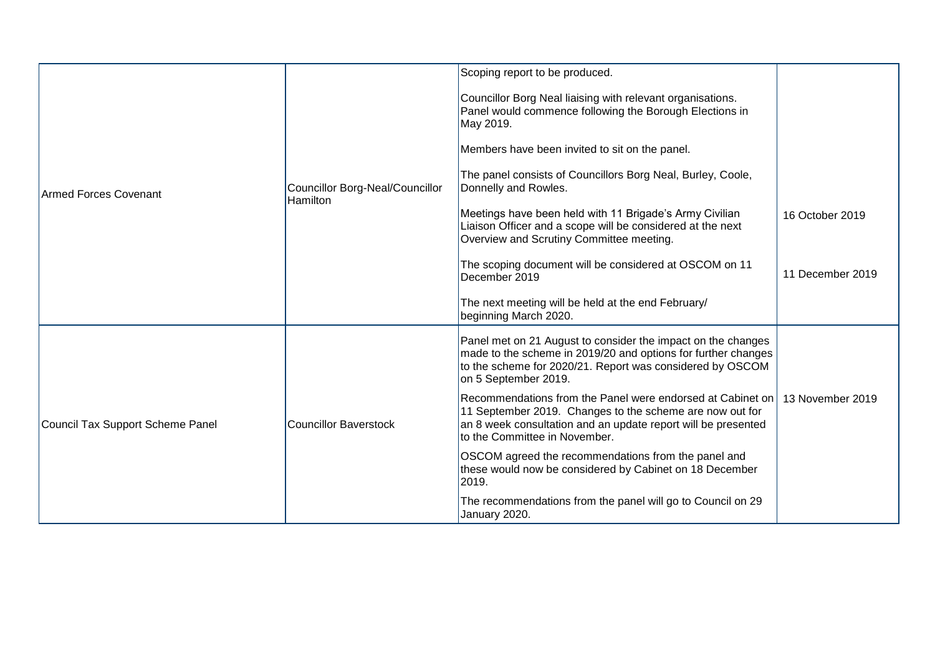| <b>Armed Forces Covenant</b>     | Councillor Borg-Neal/Councillor<br><b>Hamilton</b> | Scoping report to be produced.                                                                                                                                                                                           |                  |
|----------------------------------|----------------------------------------------------|--------------------------------------------------------------------------------------------------------------------------------------------------------------------------------------------------------------------------|------------------|
|                                  |                                                    | Councillor Borg Neal liaising with relevant organisations.<br>Panel would commence following the Borough Elections in<br>May 2019.                                                                                       |                  |
|                                  |                                                    | Members have been invited to sit on the panel.                                                                                                                                                                           |                  |
|                                  |                                                    | The panel consists of Councillors Borg Neal, Burley, Coole,<br>Donnelly and Rowles.                                                                                                                                      |                  |
|                                  |                                                    | Meetings have been held with 11 Brigade's Army Civilian<br>Liaison Officer and a scope will be considered at the next<br>Overview and Scrutiny Committee meeting.                                                        | 16 October 2019  |
|                                  |                                                    | The scoping document will be considered at OSCOM on 11<br>December 2019                                                                                                                                                  | 11 December 2019 |
|                                  |                                                    | The next meeting will be held at the end February/<br>beginning March 2020.                                                                                                                                              |                  |
| Council Tax Support Scheme Panel | <b>Councillor Baverstock</b>                       | Panel met on 21 August to consider the impact on the changes<br>made to the scheme in 2019/20 and options for further changes<br>to the scheme for 2020/21. Report was considered by OSCOM<br>on 5 September 2019.       |                  |
|                                  |                                                    | Recommendations from the Panel were endorsed at Cabinet on<br>11 September 2019. Changes to the scheme are now out for<br>an 8 week consultation and an update report will be presented<br>to the Committee in November. | 13 November 2019 |
|                                  |                                                    | OSCOM agreed the recommendations from the panel and<br>these would now be considered by Cabinet on 18 December<br>2019.                                                                                                  |                  |
|                                  |                                                    | The recommendations from the panel will go to Council on 29<br>January 2020.                                                                                                                                             |                  |